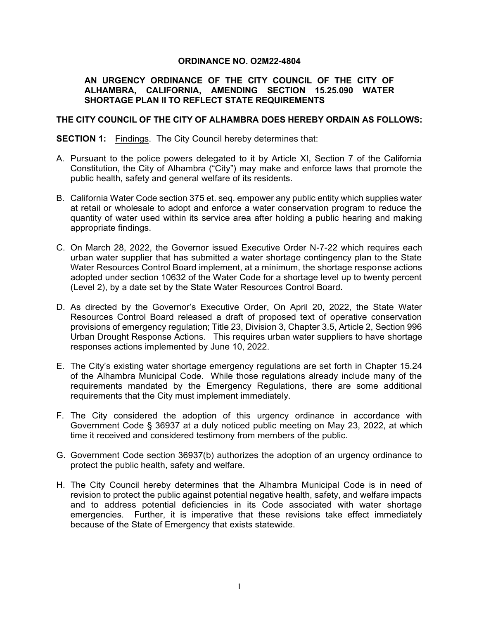## **ORDINANCE NO. O2M22-4804**

## **AN URGENCY ORDINANCE OF THE CITY COUNCIL OF THE CITY OF ALHAMBRA, CALIFORNIA, AMENDING SECTION 15.25.090 WATER SHORTAGE PLAN II TO REFLECT STATE REQUIREMENTS**

## **THE CITY COUNCIL OF THE CITY OF ALHAMBRA DOES HEREBY ORDAIN AS FOLLOWS:**

**SECTION 1:** Findings. The City Council hereby determines that:

- A. Pursuant to the police powers delegated to it by Article XI, Section 7 of the California Constitution, the City of Alhambra ("City") may make and enforce laws that promote the public health, safety and general welfare of its residents.
- B. California Water Code section 375 et. seq. empower any public entity which supplies water at retail or wholesale to adopt and enforce a water conservation program to reduce the quantity of water used within its service area after holding a public hearing and making appropriate findings.
- C. On March 28, 2022, the Governor issued Executive Order N-7-22 which requires each urban water supplier that has submitted a water shortage contingency plan to the State Water Resources Control Board implement, at a minimum, the shortage response actions adopted under section 10632 of the Water Code for a shortage level up to twenty percent (Level 2), by a date set by the State Water Resources Control Board.
- D. As directed by the Governor's Executive Order, On April 20, 2022, the State Water Resources Control Board released a draft of proposed text of operative conservation provisions of emergency regulation; Title 23, Division 3, Chapter 3.5, Article 2, Section 996 Urban Drought Response Actions. This requires urban water suppliers to have shortage responses actions implemented by June 10, 2022.
- E. The City's existing water shortage emergency regulations are set forth in Chapter 15.24 of the Alhambra Municipal Code. While those regulations already include many of the requirements mandated by the Emergency Regulations, there are some additional requirements that the City must implement immediately.
- F. The City considered the adoption of this urgency ordinance in accordance with Government Code § 36937 at a duly noticed public meeting on May 23, 2022, at which time it received and considered testimony from members of the public.
- G. Government Code section 36937(b) authorizes the adoption of an urgency ordinance to protect the public health, safety and welfare.
- H. The City Council hereby determines that the Alhambra Municipal Code is in need of revision to protect the public against potential negative health, safety, and welfare impacts and to address potential deficiencies in its Code associated with water shortage emergencies. Further, it is imperative that these revisions take effect immediately because of the State of Emergency that exists statewide.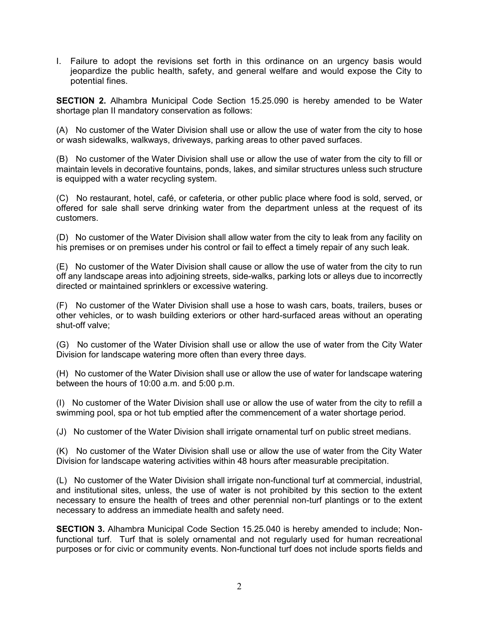I. Failure to adopt the revisions set forth in this ordinance on an urgency basis would jeopardize the public health, safety, and general welfare and would expose the City to potential fines.

**SECTION 2.** Alhambra Municipal Code Section 15.25.090 is hereby amended to be Water shortage plan II mandatory conservation as follows:

(A) No customer of the Water Division shall use or allow the use of water from the city to hose or wash sidewalks, walkways, driveways, parking areas to other paved surfaces.

(B) No customer of the Water Division shall use or allow the use of water from the city to fill or maintain levels in decorative fountains, ponds, lakes, and similar structures unless such structure is equipped with a water recycling system.

(C) No restaurant, hotel, café, or cafeteria, or other public place where food is sold, served, or offered for sale shall serve drinking water from the department unless at the request of its customers.

(D) No customer of the Water Division shall allow water from the city to leak from any facility on his premises or on premises under his control or fail to effect a timely repair of any such leak.

(E) No customer of the Water Division shall cause or allow the use of water from the city to run off any landscape areas into adjoining streets, side-walks, parking lots or alleys due to incorrectly directed or maintained sprinklers or excessive watering.

(F) No customer of the Water Division shall use a hose to wash cars, boats, trailers, buses or other vehicles, or to wash building exteriors or other hard-surfaced areas without an operating shut-off valve;

(G) No customer of the Water Division shall use or allow the use of water from the City Water Division for landscape watering more often than every three days.

(H) No customer of the Water Division shall use or allow the use of water for landscape watering between the hours of 10:00 a.m. and 5:00 p.m.

(I) No customer of the Water Division shall use or allow the use of water from the city to refill a swimming pool, spa or hot tub emptied after the commencement of a water shortage period.

(J) No customer of the Water Division shall irrigate ornamental turf on public street medians.

(K) No customer of the Water Division shall use or allow the use of water from the City Water Division for landscape watering activities within 48 hours after measurable precipitation.

(L) No customer of the Water Division shall irrigate non-functional turf at commercial, industrial, and institutional sites, unless, the use of water is not prohibited by this section to the extent necessary to ensure the health of trees and other perennial non-turf plantings or to the extent necessary to address an immediate health and safety need.

**SECTION 3.** Alhambra Municipal Code Section 15.25.040 is hereby amended to include; Nonfunctional turf. Turf that is solely ornamental and not regularly used for human recreational purposes or for civic or community events. Non-functional turf does not include sports fields and